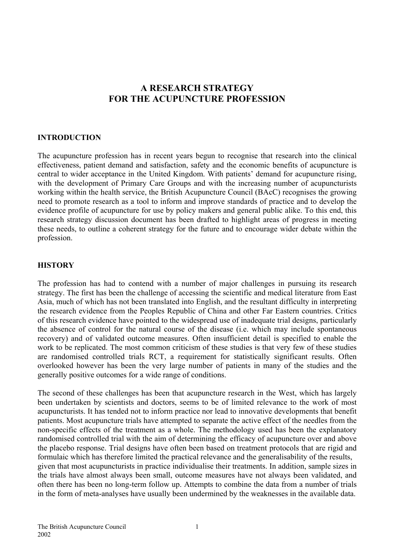# **A RESEARCH STRATEGY FOR THE ACUPUNCTURE PROFESSION**

# **INTRODUCTION**

The acupuncture profession has in recent years begun to recognise that research into the clinical effectiveness, patient demand and satisfaction, safety and the economic benefits of acupuncture is central to wider acceptance in the United Kingdom. With patients' demand for acupuncture rising, with the development of Primary Care Groups and with the increasing number of acupuncturists working within the health service, the British Acupuncture Council (BAcC) recognises the growing need to promote research as a tool to inform and improve standards of practice and to develop the evidence profile of acupuncture for use by policy makers and general public alike. To this end, this research strategy discussion document has been drafted to highlight areas of progress in meeting these needs, to outline a coherent strategy for the future and to encourage wider debate within the profession.

# **HISTORY**

The profession has had to contend with a number of major challenges in pursuing its research strategy. The first has been the challenge of accessing the scientific and medical literature from East Asia, much of which has not been translated into English, and the resultant difficulty in interpreting the research evidence from the Peoples Republic of China and other Far Eastern countries. Critics of this research evidence have pointed to the widespread use of inadequate trial designs, particularly the absence of control for the natural course of the disease (i.e. which may include spontaneous recovery) and of validated outcome measures. Often insufficient detail is specified to enable the work to be replicated. The most common criticism of these studies is that very few of these studies are randomised controlled trials RCT, a requirement for statistically significant results. Often overlooked however has been the very large number of patients in many of the studies and the generally positive outcomes for a wide range of conditions.

The second of these challenges has been that acupuncture research in the West, which has largely been undertaken by scientists and doctors, seems to be of limited relevance to the work of most acupuncturists. It has tended not to inform practice nor lead to innovative developments that benefit patients. Most acupuncture trials have attempted to separate the active effect of the needles from the non-specific effects of the treatment as a whole. The methodology used has been the explanatory randomised controlled trial with the aim of determining the efficacy of acupuncture over and above the placebo response. Trial designs have often been based on treatment protocols that are rigid and formulaic which has therefore limited the practical relevance and the generalisability of the results, given that most acupuncturists in practice individualise their treatments. In addition, sample sizes in the trials have almost always been small, outcome measures have not always been validated, and often there has been no long-term follow up. Attempts to combine the data from a number of trials in the form of meta-analyses have usually been undermined by the weaknesses in the available data.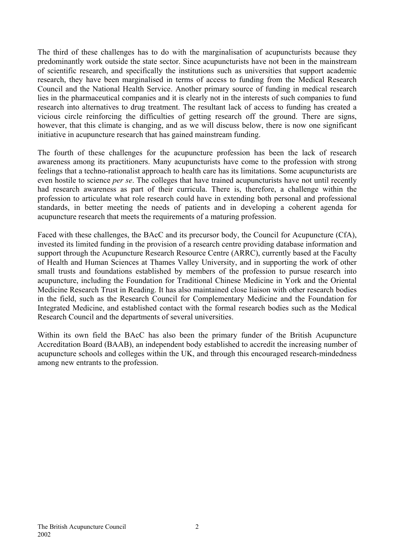The third of these challenges has to do with the marginalisation of acupuncturists because they predominantly work outside the state sector. Since acupuncturists have not been in the mainstream of scientific research, and specifically the institutions such as universities that support academic research, they have been marginalised in terms of access to funding from the Medical Research Council and the National Health Service. Another primary source of funding in medical research lies in the pharmaceutical companies and it is clearly not in the interests of such companies to fund research into alternatives to drug treatment. The resultant lack of access to funding has created a vicious circle reinforcing the difficulties of getting research off the ground. There are signs, however, that this climate is changing, and as we will discuss below, there is now one significant initiative in acupuncture research that has gained mainstream funding.

The fourth of these challenges for the acupuncture profession has been the lack of research awareness among its practitioners. Many acupuncturists have come to the profession with strong feelings that a techno-rationalist approach to health care has its limitations. Some acupuncturists are even hostile to science *per se*. The colleges that have trained acupuncturists have not until recently had research awareness as part of their curricula. There is, therefore, a challenge within the profession to articulate what role research could have in extending both personal and professional standards, in better meeting the needs of patients and in developing a coherent agenda for acupuncture research that meets the requirements of a maturing profession.

Faced with these challenges, the BAcC and its precursor body, the Council for Acupuncture (CfA), invested its limited funding in the provision of a research centre providing database information and support through the Acupuncture Research Resource Centre (ARRC), currently based at the Faculty of Health and Human Sciences at Thames Valley University, and in supporting the work of other small trusts and foundations established by members of the profession to pursue research into acupuncture, including the Foundation for Traditional Chinese Medicine in York and the Oriental Medicine Research Trust in Reading. It has also maintained close liaison with other research bodies in the field, such as the Research Council for Complementary Medicine and the Foundation for Integrated Medicine, and established contact with the formal research bodies such as the Medical Research Council and the departments of several universities.

Within its own field the BAcC has also been the primary funder of the British Acupuncture Accreditation Board (BAAB), an independent body established to accredit the increasing number of acupuncture schools and colleges within the UK, and through this encouraged research-mindedness among new entrants to the profession.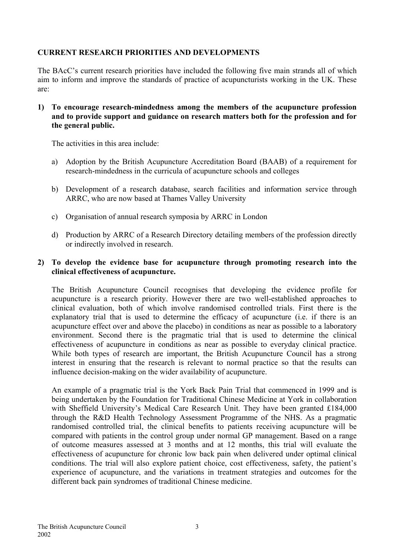# **CURRENT RESEARCH PRIORITIES AND DEVELOPMENTS**

The BAcC's current research priorities have included the following five main strands all of which aim to inform and improve the standards of practice of acupuncturists working in the UK. These are:

**1) To encourage research-mindedness among the members of the acupuncture profession and to provide support and guidance on research matters both for the profession and for the general public.**

The activities in this area include:

- a) Adoption by the British Acupuncture Accreditation Board (BAAB) of a requirement for research-mindedness in the curricula of acupuncture schools and colleges
- b) Development of a research database, search facilities and information service through ARRC, who are now based at Thames Valley University
- c) Organisation of annual research symposia by ARRC in London
- d) Production by ARRC of a Research Directory detailing members of the profession directly or indirectly involved in research.

# **2) To develop the evidence base for acupuncture through promoting research into the clinical effectiveness of acupuncture.**

The British Acupuncture Council recognises that developing the evidence profile for acupuncture is a research priority. However there are two well-established approaches to clinical evaluation, both of which involve randomised controlled trials. First there is the explanatory trial that is used to determine the efficacy of acupuncture (i.e. if there is an acupuncture effect over and above the placebo) in conditions as near as possible to a laboratory environment. Second there is the pragmatic trial that is used to determine the clinical effectiveness of acupuncture in conditions as near as possible to everyday clinical practice. While both types of research are important, the British Acupuncture Council has a strong interest in ensuring that the research is relevant to normal practice so that the results can influence decision-making on the wider availability of acupuncture.

An example of a pragmatic trial is the York Back Pain Trial that commenced in 1999 and is being undertaken by the Foundation for Traditional Chinese Medicine at York in collaboration with Sheffield University's Medical Care Research Unit. They have been granted £184,000 through the R&D Health Technology Assessment Programme of the NHS. As a pragmatic randomised controlled trial, the clinical benefits to patients receiving acupuncture will be compared with patients in the control group under normal GP management. Based on a range of outcome measures assessed at 3 months and at 12 months, this trial will evaluate the effectiveness of acupuncture for chronic low back pain when delivered under optimal clinical conditions. The trial will also explore patient choice, cost effectiveness, safety, the patient's experience of acupuncture, and the variations in treatment strategies and outcomes for the different back pain syndromes of traditional Chinese medicine.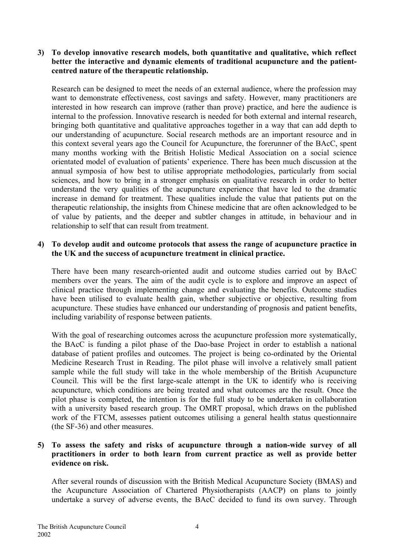# **3) To develop innovative research models, both quantitative and qualitative, which reflect better the interactive and dynamic elements of traditional acupuncture and the patientcentred nature of the therapeutic relationship.**

Research can be designed to meet the needs of an external audience, where the profession may want to demonstrate effectiveness, cost savings and safety. However, many practitioners are interested in how research can improve (rather than prove) practice, and here the audience is internal to the profession. Innovative research is needed for both external and internal research, bringing both quantitative and qualitative approaches together in a way that can add depth to our understanding of acupuncture. Social research methods are an important resource and in this context several years ago the Council for Acupuncture, the forerunner of the BAcC, spent many months working with the British Holistic Medical Association on a social science orientated model of evaluation of patients' experience. There has been much discussion at the annual symposia of how best to utilise appropriate methodologies, particularly from social sciences, and how to bring in a stronger emphasis on qualitative research in order to better understand the very qualities of the acupuncture experience that have led to the dramatic increase in demand for treatment. These qualities include the value that patients put on the therapeutic relationship, the insights from Chinese medicine that are often acknowledged to be of value by patients, and the deeper and subtler changes in attitude, in behaviour and in relationship to self that can result from treatment.

#### **4) To develop audit and outcome protocols that assess the range of acupuncture practice in the UK and the success of acupuncture treatment in clinical practice.**

There have been many research-oriented audit and outcome studies carried out by BAcC members over the years. The aim of the audit cycle is to explore and improve an aspect of clinical practice through implementing change and evaluating the benefits. Outcome studies have been utilised to evaluate health gain, whether subjective or objective, resulting from acupuncture. These studies have enhanced our understanding of prognosis and patient benefits, including variability of response between patients.

With the goal of researching outcomes across the acupuncture profession more systematically, the BAcC is funding a pilot phase of the Dao-base Project in order to establish a national database of patient profiles and outcomes. The project is being co-ordinated by the Oriental Medicine Research Trust in Reading. The pilot phase will involve a relatively small patient sample while the full study will take in the whole membership of the British Acupuncture Council. This will be the first large-scale attempt in the UK to identify who is receiving acupuncture, which conditions are being treated and what outcomes are the result. Once the pilot phase is completed, the intention is for the full study to be undertaken in collaboration with a university based research group. The OMRT proposal, which draws on the published work of the FTCM, assesses patient outcomes utilising a general health status questionnaire (the SF-36) and other measures.

# **5) To assess the safety and risks of acupuncture through a nation-wide survey of all practitioners in order to both learn from current practice as well as provide better evidence on risk.**

After several rounds of discussion with the British Medical Acupuncture Society (BMAS) and the Acupuncture Association of Chartered Physiotherapists (AACP) on plans to jointly undertake a survey of adverse events, the BAcC decided to fund its own survey. Through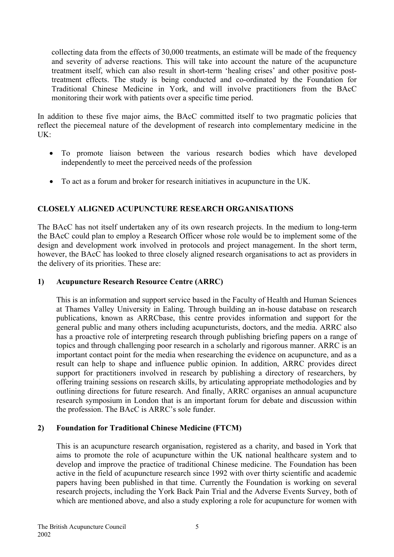collecting data from the effects of 30,000 treatments, an estimate will be made of the frequency and severity of adverse reactions. This will take into account the nature of the acupuncture treatment itself, which can also result in short-term 'healing crises' and other positive posttreatment effects. The study is being conducted and co-ordinated by the Foundation for Traditional Chinese Medicine in York, and will involve practitioners from the BAcC monitoring their work with patients over a specific time period.

In addition to these five major aims, the BAcC committed itself to two pragmatic policies that reflect the piecemeal nature of the development of research into complementary medicine in the UK:

- To promote liaison between the various research bodies which have developed independently to meet the perceived needs of the profession
- To act as a forum and broker for research initiatives in acupuncture in the UK.

# **CLOSELY ALIGNED ACUPUNCTURE RESEARCH ORGANISATIONS**

The BAcC has not itself undertaken any of its own research projects. In the medium to long-term the BAcC could plan to employ a Research Officer whose role would be to implement some of the design and development work involved in protocols and project management. In the short term, however, the BAcC has looked to three closely aligned research organisations to act as providers in the delivery of its priorities. These are:

# **1) Acupuncture Research Resource Centre (ARRC)**

This is an information and support service based in the Faculty of Health and Human Sciences at Thames Valley University in Ealing. Through building an in-house database on research publications, known as ARRCbase, this centre provides information and support for the general public and many others including acupuncturists, doctors, and the media. ARRC also has a proactive role of interpreting research through publishing briefing papers on a range of topics and through challenging poor research in a scholarly and rigorous manner. ARRC is an important contact point for the media when researching the evidence on acupuncture, and as a result can help to shape and influence public opinion. In addition, ARRC provides direct support for practitioners involved in research by publishing a directory of researchers, by offering training sessions on research skills, by articulating appropriate methodologies and by outlining directions for future research. And finally, ARRC organises an annual acupuncture research symposium in London that is an important forum for debate and discussion within the profession. The BAcC is ARRC's sole funder.

# **2) Foundation for Traditional Chinese Medicine (FTCM)**

This is an acupuncture research organisation, registered as a charity, and based in York that aims to promote the role of acupuncture within the UK national healthcare system and to develop and improve the practice of traditional Chinese medicine. The Foundation has been active in the field of acupuncture research since 1992 with over thirty scientific and academic papers having been published in that time. Currently the Foundation is working on several research projects, including the York Back Pain Trial and the Adverse Events Survey, both of which are mentioned above, and also a study exploring a role for acupuncture for women with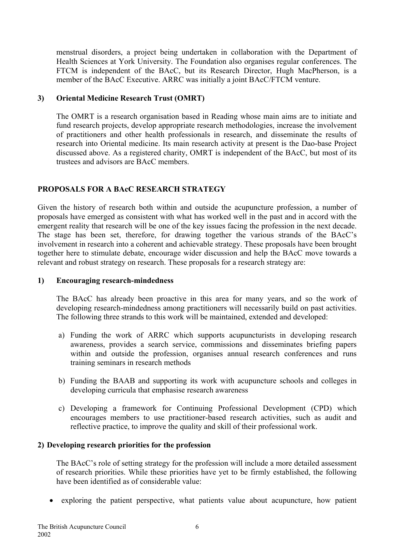menstrual disorders, a project being undertaken in collaboration with the Department of Health Sciences at York University. The Foundation also organises regular conferences. The FTCM is independent of the BAcC, but its Research Director, Hugh MacPherson, is a member of the BAcC Executive. ARRC was initially a joint BAcC/FTCM venture.

# **3) Oriental Medicine Research Trust (OMRT)**

The OMRT is a research organisation based in Reading whose main aims are to initiate and fund research projects, develop appropriate research methodologies, increase the involvement of practitioners and other health professionals in research, and disseminate the results of research into Oriental medicine. Its main research activity at present is the Dao-base Project discussed above. As a registered charity, OMRT is independent of the BAcC, but most of its trustees and advisors are BAcC members.

# **PROPOSALS FOR A BAcC RESEARCH STRATEGY**

Given the history of research both within and outside the acupuncture profession, a number of proposals have emerged as consistent with what has worked well in the past and in accord with the emergent reality that research will be one of the key issues facing the profession in the next decade. The stage has been set, therefore, for drawing together the various strands of the BAcC's involvement in research into a coherent and achievable strategy. These proposals have been brought together here to stimulate debate, encourage wider discussion and help the BAcC move towards a relevant and robust strategy on research. These proposals for a research strategy are:

## **1) Encouraging research-mindedness**

The BAcC has already been proactive in this area for many years, and so the work of developing research-mindedness among practitioners will necessarily build on past activities. The following three strands to this work will be maintained, extended and developed:

- a) Funding the work of ARRC which supports acupuncturists in developing research awareness, provides a search service, commissions and disseminates briefing papers within and outside the profession, organises annual research conferences and runs training seminars in research methods
- b) Funding the BAAB and supporting its work with acupuncture schools and colleges in developing curricula that emphasise research awareness
- c) Developing a framework for Continuing Professional Development (CPD) which encourages members to use practitioner-based research activities, such as audit and reflective practice, to improve the quality and skill of their professional work.

# **2) Developing research priorities for the profession**

The BAcC's role of setting strategy for the profession will include a more detailed assessment of research priorities. While these priorities have yet to be firmly established, the following have been identified as of considerable value:

• exploring the patient perspective, what patients value about acupuncture, how patient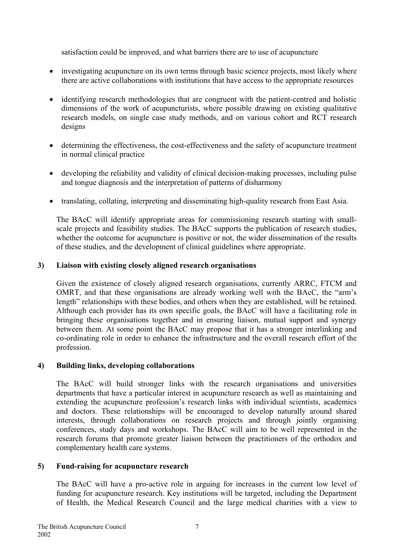satisfaction could be improved, and what barriers there are to use of acupuncture

- investigating acupuncture on its own terms through basic science projects, most likely where there are active collaborations with institutions that have access to the appropriate resources
- identifying research methodologies that are congruent with the patient-centred and holistic dimensions of the work of acupuncturists, where possible drawing on existing qualitative research models, on single case study methods, and on various cohort and RCT research designs
- determining the effectiveness, the cost-effectiveness and the safety of acupuncture treatment in normal clinical practice
- developing the reliability and validity of clinical decision-making processes, including pulse and tongue diagnosis and the interpretation of patterns of disharmony
- translating, collating, interpreting and disseminating high-quality research from East Asia.

The BAcC will identify appropriate areas for commissioning research starting with smallscale projects and feasibility studies. The BAcC supports the publication of research studies, whether the outcome for acupuncture is positive or not, the wider dissemination of the results of these studies, and the development of clinical guidelines where appropriate.

# **3) Liaison with existing closely aligned research organisations**

Given the existence of closely aligned research organisations, currently ARRC, FTCM and OMRT, and that these organisations are already working well with the BAcC, the "arm's length" relationships with these bodies, and others when they are established, will be retained. Although each provider has its own specific goals, the BAcC will have a facilitating role in bringing these organisations together and in ensuring liaison, mutual support and synergy between them. At some point the BAcC may propose that it has a stronger interlinking and co-ordinating role in order to enhance the infrastructure and the overall research effort of the profession.

# **4) Building links, developing collaborations**

The BAcC will build stronger links with the research organisations and universities departments that have a particular interest in acupuncture research as well as maintaining and extending the acupuncture profession's research links with individual scientists, academics and doctors. These relationships will be encouraged to develop naturally around shared interests, through collaborations on research projects and through jointly organising conferences, study days and workshops. The BAcC will aim to be well represented in the research forums that promote greater liaison between the practitioners of the orthodox and complementary health care systems.

#### **5) Fund-raising for acupuncture research**

The BAcC will have a pro-active role in arguing for increases in the current low level of funding for acupuncture research. Key institutions will be targeted, including the Department of Health, the Medical Research Council and the large medical charities with a view to